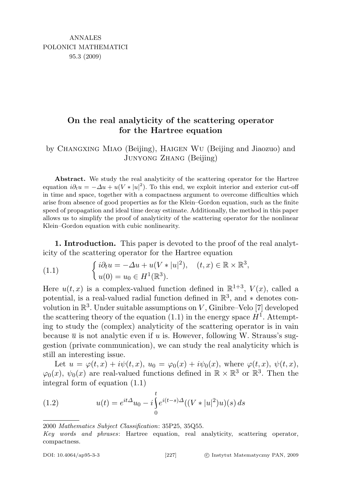## On the real analyticity of the scattering operator for the Hartree equation

## by Changxing Miao (Beijing), Haigen Wu (Beijing and Jiaozuo) and Junyong Zhang (Beijing)

Abstract. We study the real analyticity of the scattering operator for the Hartree equation  $i\partial_t u = -\Delta u + u(V \cdot |u|^2)$ . To this end, we exploit interior and exterior cut-off in time and space, together with a compactness argument to overcome difficulties which arise from absence of good properties as for the Klein–Gordon equation, such as the finite speed of propagation and ideal time decay estimate. Additionally, the method in this paper allows us to simplify the proof of analyticity of the scattering operator for the nonlinear Klein–Gordon equation with cubic nonlinearity.

1. Introduction. This paper is devoted to the proof of the real analyticity of the scattering operator for the Hartree equation

(1.1) 
$$
\begin{cases} i\partial_t u = -\Delta u + u(V \ast |u|^2), & (t, x) \in \mathbb{R} \times \mathbb{R}^3, \\ u(0) = u_0 \in H^1(\mathbb{R}^3). \end{cases}
$$

Here  $u(t, x)$  is a complex-valued function defined in  $\mathbb{R}^{1+3}$ ,  $V(x)$ , called a potential, is a real-valued radial function defined in  $\mathbb{R}^3$ , and  $*$  denotes convolution in  $\mathbb{R}^3$ . Under suitable assumptions on V, Ginibre–Velo [7] developed the scattering theory of the equation  $(1.1)$  in the energy space  $H<sup>1</sup>$ . Attempting to study the (complex) analyticity of the scattering operator is in vain because  $\bar{u}$  is not analytic even if u is. However, following W. Strauss's suggestion (private communication), we can study the real analyticity which is still an interesting issue.

Let  $u = \varphi(t, x) + i\psi(t, x)$ ,  $u_0 = \varphi_0(x) + i\psi_0(x)$ , where  $\varphi(t, x)$ ,  $\psi(t, x)$ ,  $\varphi_0(x), \psi_0(x)$  are real-valued functions defined in  $\mathbb{R} \times \mathbb{R}^3$  or  $\mathbb{R}^3$ . Then the integral form of equation (1.1)

(1.2) 
$$
u(t) = e^{it\Delta}u_0 - i \int_0^t e^{i(t-s)\Delta} ((V * |u|^2)u)(s) ds
$$

2000 Mathematics Subject Classification: 35P25, 35Q55.

Key words and phrases: Hartree equation, real analyticity, scattering operator, compactness.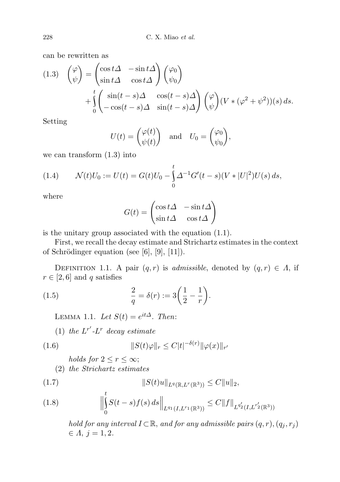can be rewritten as

(1.3) 
$$
\begin{pmatrix} \varphi \\ \psi \end{pmatrix} = \begin{pmatrix} \cos t\Delta & -\sin t\Delta \\ \sin t\Delta & \cos t\Delta \end{pmatrix} \begin{pmatrix} \varphi_0 \\ \psi_0 \end{pmatrix} + \int_0^t \begin{pmatrix} \sin(t-s)\Delta & \cos(t-s)\Delta \\ -\cos(t-s)\Delta & \sin(t-s)\Delta \end{pmatrix} \begin{pmatrix} \varphi \\ \psi \end{pmatrix} (V * (\varphi^2 + \psi^2))(s) ds.
$$

Setting

$$
U(t) = \begin{pmatrix} \varphi(t) \\ \psi(t) \end{pmatrix} \quad \text{and} \quad U_0 = \begin{pmatrix} \varphi_0 \\ \psi_0 \end{pmatrix},
$$

we can transform (1.3) into

(1.4) 
$$
\mathcal{N}(t)U_0 := U(t) = G(t)U_0 - \int_0^t \Delta^{-1}G'(t-s)(V*|U|^2)U(s) ds,
$$

where

$$
G(t) = \begin{pmatrix} \cos t\Delta & -\sin t\Delta \\ \sin t\Delta & \cos t\Delta \end{pmatrix}
$$

is the unitary group associated with the equation (1.1).

First, we recall the decay estimate and Strichartz estimates in the context of Schrödinger equation (see  $[6]$ ,  $[9]$ ,  $[11]$ ).

DEFINITION 1.1. A pair  $(q, r)$  is *admissible*, denoted by  $(q, r) \in \Lambda$ , if  $r \in [2, 6]$  and q satisfies

(1.5) 
$$
\frac{2}{q} = \delta(r) := 3\left(\frac{1}{2} - \frac{1}{r}\right).
$$

LEMMA 1.1. Let  $S(t) = e^{it\Delta}$ . Then:

(1) the  $L^{r'}$ - $L^r$  decay estimate

$$
(1.6) \t\t\t\t||S(t)\varphi||_r \leq C|t|^{-\delta(r)} \|\varphi(x)\|_r
$$

holds for  $2 \leq r \leq \infty$ ; (2) the Strichartz estimates

(1.7) 
$$
||S(t)u||_{L^{q}(\mathbb{R},L^{r}(\mathbb{R}^{3}))} \leq C||u||_{2},
$$

(1.8) 
$$
\Big\|\int_{0}^{t} S(t-s)f(s) ds\Big\|_{L^{q_1}(I,L^{r_1}(\mathbb{R}^3))} \leq C\|f\|_{L^{q_2'}(I,L^{r_2'}(\mathbb{R}^3))}
$$

hold for any interval  $I \subset \mathbb{R}$ , and for any admissible pairs  $(q, r), (q_j, r_j)$  $\in A, j = 1, 2.$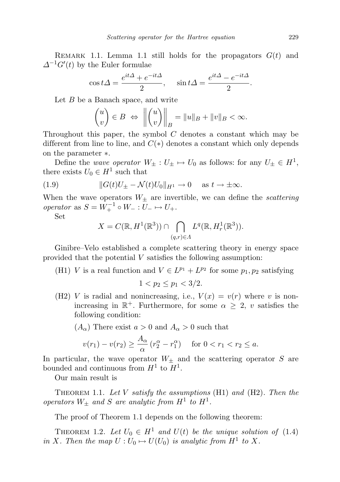REMARK 1.1. Lemma 1.1 still holds for the propagators  $G(t)$  and  $\Delta^{-1}G'(t)$  by the Euler formulae

$$
\cos t\Delta = \frac{e^{it\Delta} + e^{-it\Delta}}{2}, \quad \sin t\Delta = \frac{e^{it\Delta} - e^{-it\Delta}}{2}.
$$

Let  $B$  be a Banach space, and write

$$
\begin{pmatrix} u \\ v \end{pmatrix} \in B \iff \left\| \begin{pmatrix} u \\ v \end{pmatrix} \right\|_{B} = \|u\|_{B} + \|v\|_{B} < \infty.
$$

Throughout this paper, the symbol  $C$  denotes a constant which may be different from line to line, and  $C(*)$  denotes a constant which only depends on the parameter ∗.

Define the *wave operator*  $W_{\pm}: U_{\pm} \mapsto U_0$  as follows: for any  $U_{\pm} \in H^1$ , there exists  $U_0 \in H^1$  such that

(1.9) 
$$
||G(t)U_{\pm} - \mathcal{N}(t)U_0||_{H^1} \to 0 \quad \text{as } t \to \pm \infty.
$$

When the wave operators  $W_{\pm}$  are invertible, we can define the *scattering* operator as  $S = W_+^{-1} \circ W_- : U_- \mapsto U_+$ .

Set

$$
X = C(\mathbb{R}, H^1(\mathbb{R}^3)) \cap \bigcap_{(q,r)\in\Lambda} L^q(\mathbb{R}, H^1_r(\mathbb{R}^3)).
$$

Ginibre–Velo established a complete scattering theory in energy space provided that the potential  $V$  satisfies the following assumption:

(H1) V is a real function and  $V \in L^{p_1} + L^{p_2}$  for some  $p_1, p_2$  satisfying

$$
1 < p_2 \le p_1 < 3/2.
$$

(H2) V is radial and nonincreasing, i.e.,  $V(x) = v(r)$  where v is nonincreasing in  $\mathbb{R}^+$ . Furthermore, for some  $\alpha \geq 2$ , v satisfies the following condition:

## $(A_{\alpha})$  There exist  $a > 0$  and  $A_{\alpha} > 0$  such that

$$
v(r_1) - v(r_2) \ge \frac{A_{\alpha}}{\alpha} (r_2^{\alpha} - r_1^{\alpha})
$$
 for  $0 < r_1 < r_2 \le a$ .

In particular, the wave operator  $W_{\pm}$  and the scattering operator S are bounded and continuous from  $H^1$  to  $H^1$ .

Our main result is

THEOREM 1.1. Let V satisfy the assumptions  $(H1)$  and  $(H2)$ . Then the operators  $W_{\pm}$  and S are analytic from  $H^1$  to  $H^1$ .

The proof of Theorem 1.1 depends on the following theorem:

THEOREM 1.2. Let  $U_0 \in H^1$  and  $U(t)$  be the unique solution of (1.4) in X. Then the map  $U: U_0 \mapsto U(U_0)$  is analytic from  $H^1$  to X.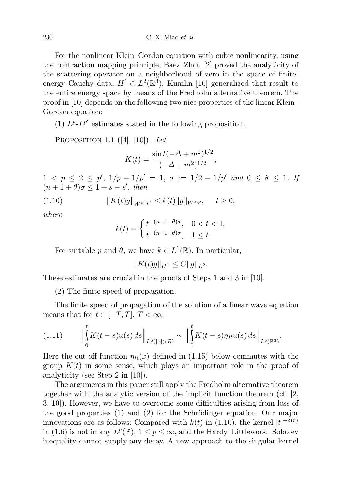For the nonlinear Klein–Gordon equation with cubic nonlinearity, using the contraction mapping principle, Baez–Zhou [2] proved the analyticity of the scattering operator on a neighborhood of zero in the space of finiteenergy Cauchy data,  $H^1 \oplus L^2(\mathbb{R}^3)$ . Kumlin [10] generalized that result to the entire energy space by means of the Fredholm alternative theorem. The proof in [10] depends on the following two nice properties of the linear Klein– Gordon equation:

(1)  $L^{p}$ - $L^{p'}$  estimates stated in the following proposition.

PROPOSITION 1.1  $([4], [10])$ . Let

$$
K(t) = \frac{\sin t(-\Delta + m^2)^{1/2}}{(-\Delta + m^2)^{1/2}},
$$

 $1 < p \leq 2 \leq p', \ 1/p + 1/p' = 1, \ \sigma := 1/2 - 1/p' \ \text{and} \ 0 \leq \theta \leq 1.$  If  $(n+1+\theta)\sigma \leq 1+s-s'$ , then

$$
(1.10) \t\t\t ||K(t)g||_{W^{s',p'}} \le k(t)||g||_{W^{s,p}}, \t t \ge 0,
$$

where

$$
k(t) = \begin{cases} t^{-(n-1-\theta)\sigma}, & 0 < t < 1, \\ t^{-(n-1+\theta)\sigma}, & 1 \le t. \end{cases}
$$

For suitable p and  $\theta$ , we have  $k \in L^1(\mathbb{R})$ . In particular,

 $||K(t)q||_{H^1} < C||q||_{L^2}$ .

These estimates are crucial in the proofs of Steps 1 and 3 in [10].

(2) The finite speed of propagation.

The finite speed of propagation of the solution of a linear wave equation means that for  $t \in [-T, T], T < \infty$ ,

$$
(1.11) \qquad \Big\|\int_{0}^{t} K(t-s)u(s) \, ds\Big\|_{L^{6}(|x|>R)} \sim \Big\|\int_{0}^{t} K(t-s)\eta_{R}u(s) \, ds\Big\|_{L^{6}(\mathbb{R}^{3})}.
$$

Here the cut-off function  $\eta_R(x)$  defined in (1.15) below commutes with the group  $K(t)$  in some sense, which plays an important role in the proof of analyticity (see Step 2 in [10]).

The arguments in this paper still apply the Fredholm alternative theorem together with the analytic version of the implicit function theorem (cf. [2, 3, 10]). However, we have to overcome some difficulties arising from loss of the good properties  $(1)$  and  $(2)$  for the Schrödinger equation. Our major innovations are as follows: Compared with  $k(t)$  in (1.10), the kernel  $|t|^{-\delta(r)}$ in (1.6) is not in any  $L^p(\mathbb{R})$ ,  $1 \leq p \leq \infty$ , and the Hardy–Littlewood–Sobolev inequality cannot supply any decay. A new approach to the singular kernel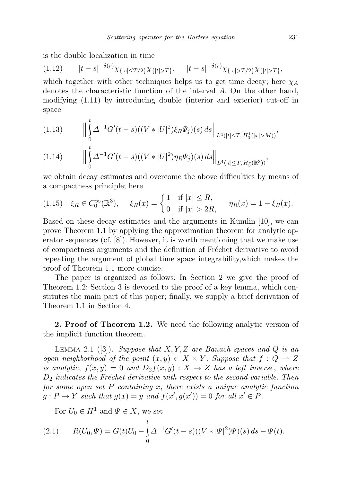is the double localization in time

$$
(1.12) \t|t-s|^{-\delta(r)}\chi_{\{|s|\leq T/2\}}\chi_{\{|t|>T\}}, \t|t-s|^{-\delta(r)}\chi_{\{|s|>T/2\}}\chi_{\{|t|>T\}},
$$

which together with other techniques helps us to get time decay; here  $\chi_A$ denotes the characteristic function of the interval A. On the other hand, modifying (1.11) by introducing double (interior and exterior) cut-off in space

(1.13) 
$$
\left\| \int_{0}^{t} \Delta^{-1} G'(t-s)((V*|U|^2)\xi_R \Psi_j)(s) ds \right\|_{L^4(|t| \leq T, H_3^1(|x|>M))},
$$

$$
(1.14) \qquad \Big\|\int\limits_0^s \Delta^{-1}G'(t-s)((V*|U|^2)\eta_R\Psi_j)(s)\,ds\Big\|_{L^4(|t|\leq T,\,H^1_3(\mathbb{R}^3))},
$$

we obtain decay estimates and overcome the above difficulties by means of a compactness principle; here

$$
(1.15) \quad \xi_R \in C_0^{\infty}(\mathbb{R}^3), \quad \xi_R(x) = \begin{cases} 1 & \text{if } |x| \le R, \\ 0 & \text{if } |x| > 2R, \end{cases} \quad \eta_R(x) = 1 - \xi_R(x).
$$

Based on these decay estimates and the arguments in Kumlin [10], we can prove Theorem 1.1 by applying the approximation theorem for analytic operator sequences (cf.  $[8]$ ). However, it is worth mentioning that we make use of compactness arguments and the definition of Fréchet derivative to avoid repeating the argument of global time space integrability,which makes the proof of Theorem 1.1 more concise.

The paper is organized as follows: In Section 2 we give the proof of Theorem 1.2; Section 3 is devoted to the proof of a key lemma, which constitutes the main part of this paper; finally, we supply a brief derivation of Theorem 1.1 in Section 4.

2. Proof of Theorem 1.2. We need the following analytic version of the implicit function theorem.

LEMMA 2.1 ([3]). Suppose that  $X, Y, Z$  are Banach spaces and Q is an open neighborhood of the point  $(x, y) \in X \times Y$ . Suppose that  $f : Q \to Z$ is analytic,  $f(x, y) = 0$  and  $D_2f(x, y) : X \to Z$  has a left inverse, where  $D_2$  indicates the Fréchet derivative with respect to the second variable. Then for some open set  $P$  containing  $x$ , there exists a unique analytic function  $g: P \to Y$  such that  $g(x) = y$  and  $f(x', g(x')) = 0$  for all  $x' \in P$ .

For  $U_0 \in H^1$  and  $\Psi \in X$ , we set

(2.1) 
$$
R(U_0, \Psi) = G(t)U_0 - \int_0^t \Delta^{-1} G'(t-s)((V * |\Psi|^2)\Psi)(s) ds - \Psi(t).
$$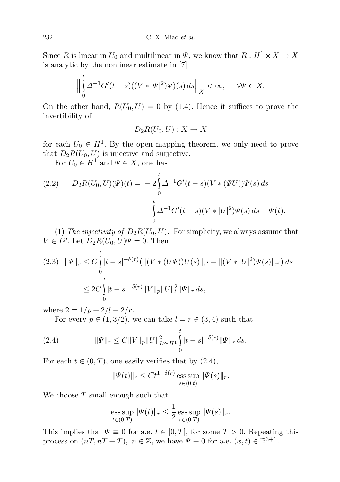Since R is linear in  $U_0$  and multilinear in  $\Psi$ , we know that  $R: H^1 \times X \to X$ is analytic by the nonlinear estimate in [7]

$$
\Big\|\int\limits_0^t \varDelta^{-1}G'(t-s)((V*|\varPsi|^2)\varPsi)(s)\,ds\Big\|_X<\infty,\quad \ \ \forall \varPsi\in X.
$$

On the other hand,  $R(U_0, U) = 0$  by (1.4). Hence it suffices to prove the invertibility of

$$
D_2R(U_0,U):X\to X
$$

for each  $U_0 \in H^1$ . By the open mapping theorem, we only need to prove that  $D_2R(U_0, U)$  is injective and surjective.

For  $U_0 \in H^1$  and  $\Psi \in X$ , one has

(2.2) 
$$
D_2R(U_0, U)(\Psi)(t) = -2\int_0^t \Delta^{-1}G'(t-s)(V*(\Psi U))\Psi(s) ds - \int_0^t \Delta^{-1}G'(t-s)(V*|U|^2)\Psi(s) ds - \Psi(t).
$$

(1) The injectivity of  $D_2R(U_0, U)$ . For simplicity, we always assume that  $V \in L^p$ . Let  $D_2R(U_0, U)\Psi = 0$ . Then

$$
(2.3) \|\Psi\|_{r} \leq C \int_{0}^{t} |t-s|^{-\delta(r)} \left( \| (V*(U\Psi))U(s) \|_{r'} + \| (V*|U|^{2})\Psi(s) \|_{r'} \right) ds
$$
  

$$
\leq 2C \int_{0}^{t} |t-s|^{-\delta(r)} \|V\|_{p} \|U\|_{l}^{2} \|\Psi\|_{r} ds,
$$

where  $2 = 1/p + 2/l + 2/r$ .

For every  $p \in (1, 3/2)$ , we can take  $l = r \in (3, 4)$  such that

(2.4) 
$$
\|\Psi\|_{r} \leq C \|V\|_{p} \|U\|_{L^{\infty}H^{1}}^{2} \int_{0}^{t} |t-s|^{-\delta(r)} \|\Psi\|_{r} ds.
$$

For each  $t \in (0, T)$ , one easily verifies that by  $(2.4)$ ,

$$
\|\Psi(t)\|_{r} \le Ct^{1-\delta(r)} \operatorname{ess} \sup_{s \in (0,t)} \|\Psi(s)\|_{r}.
$$

We choose  $T$  small enough such that

ess sup 
$$
\|\Psi(t)\|_r \leq \frac{1}{2} \operatorname{ess} \sup_{s \in (0,T)} \|\Psi(s)\|_r
$$
.

This implies that  $\Psi \equiv 0$  for a.e.  $t \in [0, T]$ , for some  $T > 0$ . Repeating this process on  $(nT, nT + T)$ ,  $n \in \mathbb{Z}$ , we have  $\Psi \equiv 0$  for a.e.  $(x, t) \in \mathbb{R}^{3+1}$ .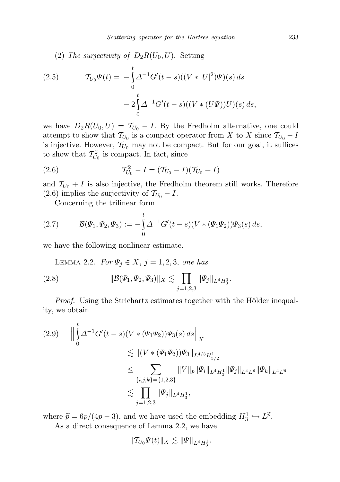(2) The surjectivity of  $D_2R(U_0, U)$ . Setting

(2.5) 
$$
\mathcal{T}_{U_0}\Psi(t) = -\int_0^t \Delta^{-1}G'(t-s)((V*|U|^2)\Psi)(s) ds - 2\int_0^t \Delta^{-1}G'(t-s)((V*(U\Psi))U)(s) ds,
$$

we have  $D_2R(U_0, U) = T_{U_0} - I$ . By the Fredholm alternative, one could attempt to show that  $\mathcal{T}_{U_0}$  is a compact operator from X to X since  $\mathcal{T}_{U_0} - I$ is injective. However,  $\mathcal{T}_{U_0}$  may not be compact. But for our goal, it suffices to show that  $\mathcal{T}_{U_0}^2$  is compact. In fact, since

(2.6) 
$$
\mathcal{T}_{U_0}^2 - I = (\mathcal{T}_{U_0} - I)(\mathcal{T}_{U_0} + I)
$$

and  $\mathcal{T}_{U_0} + I$  is also injective, the Fredholm theorem still works. Therefore (2.6) implies the surjectivity of  $\mathcal{T}_{U_0} - I$ .

Concerning the trilinear form

(2.7) 
$$
\mathcal{B}(\Psi_1, \Psi_2, \Psi_3) := -\int_0^t \Delta^{-1} G'(t-s) (V * (\Psi_1 \Psi_2)) \Psi_3(s) ds,
$$

we have the following nonlinear estimate.

LEMMA 2.2. For  $\Psi_j \in X$ ,  $j = 1, 2, 3$ , one has

(2.8) 
$$
\|\mathcal{B}(\Psi_1,\Psi_2,\Psi_3)\|_X \lesssim \prod_{j=1,2,3} \|\Psi_j\|_{L^4 H_3^1}.
$$

*Proof.* Using the Strichartz estimates together with the Hölder inequality, we obtain

$$
(2.9) \qquad \Big\|\int_{0}^{t} \Delta^{-1}G'(t-s)(V*(\Psi_{1}\Psi_{2}))\Psi_{3}(s) \, ds\Big\|_{X}
$$
  
\n
$$
\lesssim \|(V*(\Psi_{1}\Psi_{2}))\Psi_{3}\|_{L^{4/3}H^{1}_{3/2}}\leq \sum_{\{i,j,k\}=\{1,2,3\}} \|V\|_{p} \|\Psi_{i}\|_{L^{4}H^{1}_{3}} \|\Psi_{j}\|_{L^{4}L^{\tilde{p}}} \|\Psi_{k}\|_{L^{4}L^{\tilde{p}}}
$$
  
\n
$$
\lesssim \prod_{j=1,2,3} \|\Psi_{j}\|_{L^{4}H^{1}_{3}},
$$

where  $\tilde{p} = 6p/(4p-3)$ , and we have used the embedding  $H_3^1 \hookrightarrow L^{\tilde{p}}$ . As a direct consequence of Lemma 2.2, we have

$$
\| \mathcal{T}_{U_0} \Psi(t) \|_X \lesssim \| \Psi\|_{L^4 H^1_3}.
$$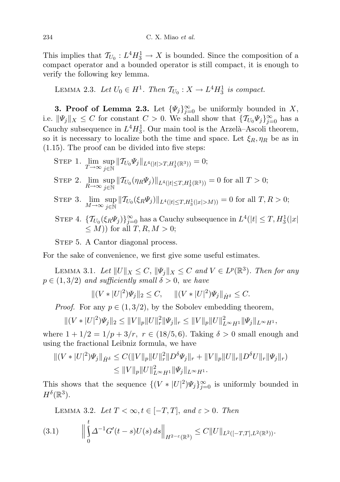This implies that  $\mathcal{T}_{U_0}: L^4 H_3^1 \to X$  is bounded. Since the composition of a compact operator and a bounded operator is still compact, it is enough to verify the following key lemma.

LEMMA 2.3. Let  $U_0 \in H^1$ . Then  $\mathcal{T}_{U_0} : X \to L^4 H_3^1$  is compact.

**3. Proof of Lemma 2.3.** Let  $\{\Psi_j\}_{j=0}^{\infty}$  be uniformly bounded in X, i.e.  $\|\Psi_j\|_X \leq C$  for constant  $C > 0$ . We shall show that  $\{\mathcal{T}_{U_0}\Psi_j\}_{j=0}^{\infty}$  has a Cauchy subsequence in  $L^4H_3^1$ . Our main tool is the Arzelà-Ascoli theorem, so it is necessary to localize both the time and space. Let  $\xi_R, \eta_R$  be as in (1.15). The proof can be divided into five steps:

$$
\begin{aligned} \text{STEP 1. } & \lim_{T \to \infty} \sup_{j \in \mathbb{N}} \| T_{U_0} \Psi_j \|_{L^4(|t| > T, H^1_3(\mathbb{R}^3))} = 0; \\ \text{STEP 2. } & \lim_{R \to \infty} \sup_{j \in \mathbb{N}} \| T_{U_0} (\eta_R \Psi_j) \|_{L^4(|t| \le T, H^1_3(\mathbb{R}^3))} = 0 \text{ for all } T > 0; \end{aligned}
$$

- STEP 3.  $\lim_{M\to\infty} \sup_{i\in\mathbb{N}}$  $\sup_{j \in \mathbb{N}} \| T_{U_0}(\xi_R \Psi_j) \|_{L^4(|t| \le T, H^1_3(|x| > M))} = 0$  for all  $T, R > 0;$
- STEP 4.  $\{T_{U_0}(\xi_R\Psi_j)\}_{j=0}^{\infty}$  has a Cauchy subsequence in  $L^4(|t| \leq T, H_3^1(|x|)$  $\langle M \rangle$  for all  $T, R, M > 0$ ;

STEP 5. A Cantor diagonal process.

For the sake of convenience, we first give some useful estimates.

LEMMA 3.1. Let  $||U||_X \leq C$ ,  $||\Psi_j||_X \leq C$  and  $V \in L^p(\mathbb{R}^3)$ . Then for any  $p \in (1, 3/2)$  and sufficiently small  $\delta > 0$ , we have

$$
||(V*|U|^2)\Psi_j||_2 \leq C, \quad ||(V*|U|^2)\Psi_j||_{\dot{H}^{\delta}} \leq C.
$$

*Proof.* For any  $p \in (1, 3/2)$ , by the Sobolev embedding theorem,

$$
||(V*|U|^2)\Psi_j||_2 \leq ||V||_p||U||_r^2||\Psi_j||_r \leq ||V||_p||U||_{L^\infty H^1}^2||\Psi_j||_{L^\infty H^1},
$$

where  $1 + 1/2 = 1/p + 3/r$ ,  $r \in (18/5, 6)$ . Taking  $\delta > 0$  small enough and using the fractional Leibniz formula, we have

$$
\| (V \ast |U|^2) \Psi_j \|_{\dot{H}^\delta} \le C (\|V\|_p \|U\|_r^2 \|D^\delta \Psi_j\|_r + \|V\|_p \|U\|_r \|D^\delta U\|_r \|\Psi_j\|_r)
$$
  

$$
\le \|V\|_p \|U\|_{L^\infty H^1}^2 \|\Psi_j\|_{L^\infty H^1}.
$$

This shows that the sequence  $\{(V \ast |U|^2) \Psi_j\}_{j=0}^{\infty}$  is uniformly bounded in  $H^{\delta}(\mathbb{R}^3)$ .

LEMMA 3.2. Let  $T < \infty$ ,  $t \in [-T, T]$ , and  $\varepsilon > 0$ . Then

$$
(3.1) \qquad \Big\|\bigcup_{0}^{t} \Delta^{-1}G'(t-s)U(s)\,ds\Big\|_{H^{2-\varepsilon}(\mathbb{R}^3)} \leq C\|U\|_{L^2([-T,T],L^2(\mathbb{R}^3))}.
$$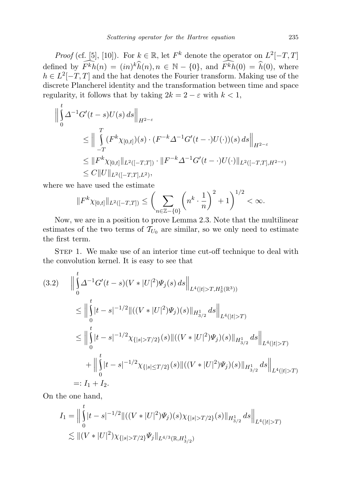*Proof* (cf. [5], [10]). For  $k \in \mathbb{R}$ , let  $F^k$  denote the operator on  $L^2[-T, T]$ defined by  $\overline{F^k h}(n) = (in)^k \widehat{h}(n), n \in \mathbb{N} - \{0\}$ , and  $\overline{F^k h}(0) = \widehat{h}(0)$ , where  $h \in L^2[-T, T]$  and the hat denotes the Fourier transform. Making use of the discrete Plancherel identity and the transformation between time and space regularity, it follows that by taking  $2k = 2 - \varepsilon$  with  $k < 1$ ,

$$
\begin{aligned}\n\left\| \int_{0}^{t} \Delta^{-1} G'(t-s) U(s) \, ds \right\|_{H^{2-\varepsilon}} \\
&\leq \left\| \int_{-T}^{T} (F^{k} \chi_{[0,t]})(s) \cdot (F^{-k} \Delta^{-1} G'(t-\cdot) U(\cdot))(s) \, ds \right\|_{H^{2-\varepsilon}} \\
&\leq \| F^{k} \chi_{[0,t]} \|_{L^{2}([-T,T])} \cdot \| F^{-k} \Delta^{-1} G'(t-\cdot) U(\cdot) \|_{L^{2}([-T,T],H^{2-\varepsilon})} \\
&\leq C \| U \|_{L^{2}([-T,T],L^{2})},\n\end{aligned}
$$

where we have used the estimate

$$
||F^k \chi_{[0,t]}||_{L^2([-T,T])} \leq \left(\sum_{n\in\mathbb{Z}-\{0\}} \left(n^k \cdot \frac{1}{n}\right)^2 + 1\right)^{1/2} < \infty.
$$

Now, we are in a position to prove Lemma 2.3. Note that the multilinear estimates of the two terms of  $\mathcal{T}_{U_0}$  are similar, so we only need to estimate the first term.

STEP 1. We make use of an interior time cut-off technique to deal with the convolution kernel. It is easy to see that

$$
(3.2) \qquad \Big\|\int_{0}^{t} \Delta^{-1}G'(t-s)(V*|U|^{2})\Psi_{j}(s) \, ds\Big\|_{L^{4}(|t|>T, H_{3}^{1}(\mathbb{R}^{3}))}
$$
\n
$$
\leq \Big\|\int_{0}^{t} |t-s|^{-1/2} \|\left((V*|U|^{2})\Psi_{j}\right)(s)\|_{H_{3/2}^{1}} \, ds\Big\|_{L^{4}(|t|>T)}
$$
\n
$$
\leq \Big\|\int_{0}^{t} |t-s|^{-1/2} \chi_{\{|s|>T/2\}}(s) \| \left((V*|U|^{2})\Psi_{j}\right)(s)\|_{H_{3/2}^{1}} \, ds\Big\|_{L^{4}(|t|>T)}
$$
\n
$$
+ \Big\|\int_{0}^{t} |t-s|^{-1/2} \chi_{\{|s| \leq T/2\}}(s) \| \left((V*|U|^{2})\Psi_{j}\right)(s)\|_{H_{3/2}^{1}} \, ds\Big\|_{L^{4}(|t|>T)}
$$
\n
$$
=: I_{1} + I_{2}.
$$

On the one hand,

$$
I_1 = \Big\|\int_0^t |t-s|^{-1/2} \|\left((V*|U|^2)\Psi_j\right)(s)\chi_{\{|s|>T/2\}}(s)\|_{H^1_{3/2}} ds\Big\|_{L^4(|t|>T)}
$$
  
\n
$$
\lesssim \|(V*|U|^2)\chi_{\{|s|>T/2\}}\Psi_j\|_{L^{4/3}(\mathbb{R},H^1_{3/2})}
$$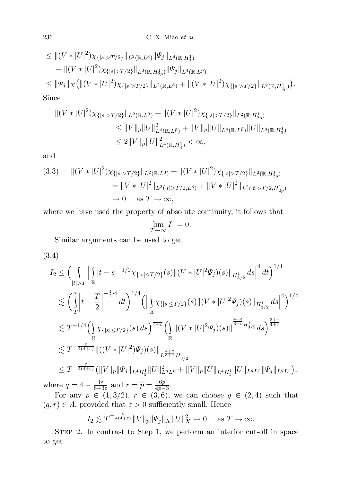$$
\leq ||(V*|U|^2)\chi_{\{|s|>T/2\}}||_{L^2(\mathbb{R},L^3)}||\Psi_j||_{L^4(\mathbb{R},H_3^1)}+\|(V*|U|^2)\chi_{\{|s|>T/2\}}||_{L^2(\mathbb{R},H_{2p}^1)}||\Psi_j||_{L^4(\mathbb{R},L^{\tilde{p}})}\leq ||\Psi_j||_X(||(V*|U|^2)\chi_{\{|s|>T/2\}}||_{L^2(\mathbb{R},L^3)}+||(V*|U|^2)\chi_{\{|s|>T/2\}}||_{L^2(\mathbb{R},H_{2p}^1)}).
$$
  
Since

$$
\begin{aligned} || (V * |U|^2) \chi_{\{|s| > T/2\}} ||_{L^2(\mathbb{R}, L^3)} + || (V * |U|^2) \chi_{\{|s| > T/2\}} ||_{L^2(\mathbb{R}, H^1_{2p})} \\ & \leq ||V||_p ||U||^2_{L^4(\mathbb{R}, L^{\widetilde{p}})} + ||V||_p ||U||_{L^4(\mathbb{R}, L^{\widetilde{p}})} ||U||_{L^4(\mathbb{R}, H^1_3)} \\ & \leq 2 ||V||_p ||U||^2_{L^4(\mathbb{R}, H^1_3)} < \infty, \end{aligned}
$$

and

$$
(3.3) \quad ||(V*|U|^2)\chi_{\{|s|>T/2\}}||_{L^2(\mathbb{R},L^3)} + ||(V*|U|^2)\chi_{\{|s|>T/2\}}||_{L^2(\mathbb{R},H_{2p}^1)}= ||V*|U|^2||_{L^2(|t|>T/2,L^3)} + ||V*|U|^2||_{L^2(|t|>T/2,H_{2p}^1)}\to 0 \quad \text{as } T \to \infty,
$$

where we have used the property of absolute continuity, it follows that

$$
\lim_{T \to \infty} I_1 = 0.
$$

Similar arguments can be used to get

$$
(3.4)
$$

$$
I_2 \leq \Big(\int_{|t|>T} \Big| \int_{\mathbb{R}} |t-s|^{-1/2} \chi_{\{|s|\leq T/2\}}(s) \| (V*|U|^2 \Psi_j)(s) \|_{H^1_{3/2}} ds \Big|^4 dt \Big)^{1/4} \n\lesssim \Big(\int_{T}^{\infty} \Big| t - \frac{T}{2} \Big|^{-\frac{1}{2}\cdot 4} dt \Big)^{1/4} \Big( \Big| \int_{\mathbb{R}} \chi_{\{|s|\leq T/2\}}(s) \| (V*|U|^2 \Psi_j)(s) \|_{H^1_{3/2}} ds \Big|^4 \Big)^{1/4} \n\lesssim T^{-1/4} \Big(\int_{\mathbb{R}} \chi_{\{|s|\leq T/2\}}(s) ds \Big)^{\frac{1}{4+\varepsilon}} \Big(\int_{\mathbb{R}} \| (V*|U|^2 \Psi_j)(s) \|_{\frac{4+\varepsilon}{3+\varepsilon} H^1_{3/2}} ds \Big)^{\frac{3+\varepsilon}{4+\varepsilon}} \n\lesssim T^{-\frac{\varepsilon}{4(4+\varepsilon)}} \| ((V*|U|^2) \Psi_j)(s) \|_{L^{\frac{4+\varepsilon}{3+\varepsilon} H^1_{3/2}} } \Big|_{L^4 H^1_3} \| U \|_{L^4 H^1_3} \| U \|_{L^4 H^1_3} \| U \|_{L^4 L^r} \| \Psi_j \|_{L^4 L^r} \Big),
$$
  
\nwhere  $q = 4 - \frac{4\varepsilon}{8+3\varepsilon}$  and  $r = \tilde{p} = \frac{6p}{4p-3}$ .

 $\frac{4\varepsilon}{8+3\varepsilon}$  and  $r = \widetilde{p} = \frac{6p}{4p}$ For any  $p \in (1, 3/2), r \in (3, 6)$ , we can choose  $q \in (2, 4)$  such that  $(q, r) \in \Lambda$ , provided that  $\varepsilon > 0$  sufficiently small. Hence

$$
I_2 \lesssim T^{-\frac{\varepsilon}{4(4+\varepsilon)}} \|V\|_p \|\Psi_j\|_X \|U\|_X^2 \to 0 \quad \text{as } T \to \infty.
$$

STEP 2. In contrast to Step 1, we perform an interior cut-off in space to get

 $\overline{a}$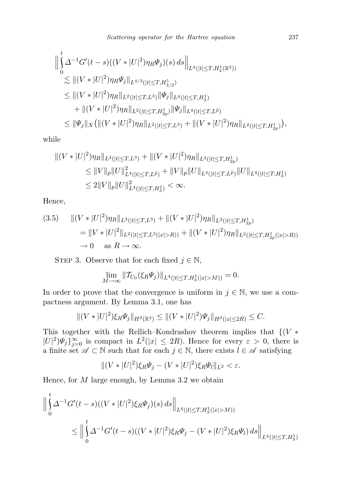$$
\|\int_{0}^{t} \Delta^{-1}G'(t-s)((V*|U|^{2})\eta_{R}\Psi_{j})(s) ds\|_{L^{4}(|t|\leq T, H^{1}_{3}(\mathbb{R}^{3}))}
$$
  
\n
$$
\lesssim \|(V*|U|^{2})\eta_{R}\Psi_{j}\|_{L^{4/3}(|t|\leq T, H^{1}_{3/2})}
$$
  
\n
$$
\leq \|(V*|U|^{2})\eta_{R}\|_{L^{2}(|t|\leq T, L^{3})}\|\Psi_{j}\|_{L^{4}(|t|\leq T, H^{1}_{3})}
$$
  
\n
$$
+ \|(V*|U|^{2})\eta_{R}\|_{L^{2}(|t|\leq T, H^{1}_{2p})}\|\Psi_{j}\|_{L^{4}(|t|\leq T, L^{\tilde{p}})}
$$
  
\n
$$
\leq \|\Psi_{j}\|_{X}\big(\|(V*|U|^{2})\eta_{R}\|_{L^{2}(|t|\leq T, L^{3})} + \|(V*|U|^{2})\eta_{R}\|_{L^{2}(|t|\leq T, H^{1}_{2p})}\big),
$$

while

$$
|| (V * |U|^2) \eta_R ||_{L^2(|t| \le T, L^3)} + || (V * |U|^2) \eta_R ||_{L^2(|t| \le T, H^1_{2p})}
$$
  
\n
$$
\le ||V||_p ||U||^2_{L^4(|t| \le T, L^{\tilde{p}})} + ||V||_p ||U||_{L^4(|t| \le T, L^{\tilde{p}})} ||U||_{L^4(|t| \le T, H^1_3)}
$$
  
\n
$$
\le 2||V||_p ||U||^2_{L^4(|t| \le T, H^1_3)} < \infty.
$$

Hence,

$$
(3.5) \quad ||(V*|U|^2)\eta_R||_{L^2(|t|\leq T,L^3)} + ||(V*|U|^2)\eta_R||_{L^2(|t|\leq T,H^1_{2p})}
$$
  
\n
$$
= ||V*|U|^2||_{L^2(|t|\leq T,L^3(|x|>R))} + ||(V*|U|^2)\eta_R||_{L^2(|t|\leq T,H^1_{2p}(|x|>R))}
$$
  
\n
$$
\to 0 \quad \text{as } R \to \infty.
$$

STEP 3. Observe that for each fixed  $j \in \mathbb{N}$ ,

$$
\lim_{M \to \infty} \|T_{U_0}(\xi_R \Psi_j)\|_{L^4(|t| \le T, H^1_3(|x| > M))} = 0.
$$

In order to prove that the convergence is uniform in  $j \in \mathbb{N}$ , we use a compactness argument. By Lemma 3.1, one has

$$
||(V*|U|^2)\xi_R\Psi_j||_{H^{\delta}(\mathbb{R}^3)} \leq ||(V*|U|^2)\Psi_j||_{H^{\delta}(|x|\leq 2R)} \leq C.
$$

This together with the Rellich–Kondrashov theorem implies that  $\{V^*\}$  $|U|^2 \Psi_j \}_{j=0}^{\infty}$  is compact in  $L^2(|x| \leq 2R)$ . Hence for every  $\varepsilon > 0$ , there is a finite set  $\mathscr{A} \subset \mathbb{N}$  such that for each  $j \in \mathbb{N}$ , there exists  $l \in \mathscr{A}$  satisfying

$$
||(V*|U|^2)\xi_R\Psi_j - (V*|U|^2)\xi_R\Psi_l||_{L^2} < \varepsilon.
$$

Hence, for  $M$  large enough, by Lemma 3.2 we obtain

$$
\begin{aligned}\n\left\| \int_{0}^{t} \Delta^{-1} G'(t-s)((V*|U|^2)\xi_R \Psi_j)(s) \, ds \right\|_{L^4(|t| \le T, H_3^1(|x|>M))} \\
&\le \left\| \int_{0}^{t} \Delta^{-1} G'(t-s)((V*|U|^2)\xi_R \Psi_j - (V*|U|^2)\xi_R \Psi_l) \, ds \right\|_{L^4(|t| \le T, H_3^1)}\n\end{aligned}
$$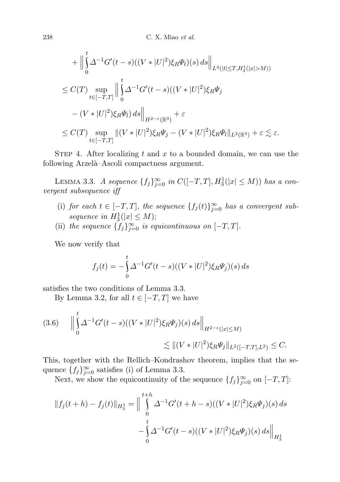$$
+ \Big\|\int_{0}^{t} \Delta^{-1}G'(t-s)((V*|U|^{2})\xi_{R}\Psi_{l})(s) ds\Big\|_{L^{4}(|t|\leq T, H_{3}^{1}(|x|>M))}
$$
  
\n
$$
\leq C(T) \sup_{t\in[-T,T]} \Big\|\int_{0}^{t} \Delta^{-1}G'(t-s)((V*|U|^{2})\xi_{R}\Psi_{j}
$$
  
\n
$$
-(V*|U|^{2})\xi_{R}\Psi_{l}) ds\Big\|_{H^{2-\varepsilon}(\mathbb{R}^{3})} + \varepsilon
$$
  
\n
$$
\leq C(T) \sup_{t\in[-T,T]} \|(V*|U|^{2})\xi_{R}\Psi_{j} - (V*|U|^{2})\xi_{R}\Psi_{l}\|_{L^{2}(\mathbb{R}^{3})} + \varepsilon \lesssim \varepsilon.
$$

STEP 4. After localizing t and x to a bounded domain, we can use the following Arzelà–Ascoli compactness argument.

LEMMA 3.3. A sequence  $\{f_j\}_{j=0}^{\infty}$  in  $C([-T,T], H_3^1(|x| \le M))$  has a convergent subsequence iff

- (i) for each  $t \in [-T, T]$ , the sequence  $\{f_j(t)\}_{j=0}^{\infty}$  has a convergent subsequence in  $H_3^1(|x| \leq M);$
- (ii) the sequence  ${f_j}_{j=0}^{\infty}$  is equicontinuous on  $[-T, T]$ .

We now verify that

$$
f_j(t) = -\int_0^t \Delta^{-1} G'(t-s)((V*|U|^2)\xi_R \Psi_j)(s) ds
$$

satisfies the two conditions of Lemma 3.3.

By Lemma 3.2, for all  $t \in [-T, T]$  we have

$$
(3.6) \qquad \Big\|\int_{0}^{t} \Delta^{-1}G'(t-s)((V*|U|^{2})\xi_{R}\Psi_{j})(s) ds\Big\|_{H^{2-\varepsilon}(|x|\leq M)} \lesssim \|(V*|U|^{2})\xi_{R}\Psi_{j}\|_{L^{2}([-T,T],L^{2})} \leq C.
$$

This, together with the Rellich–Kondrashov theorem, implies that the sequence  ${f_j}_{j=0}^{\infty}$  satisfies (i) of Lemma 3.3.

Next, we show the equicontinuity of the sequence  $\{f_j\}_{j=0}^{\infty}$  on  $[-T, T]$ :

$$
||f_j(t+h) - f_j(t)||_{H_3^1} = \Big\|\int_0^{t+h} \Delta^{-1}G'(t+h-s)((V*|U|^2)\xi_R\Psi_j)(s) ds - \int_0^t \Delta^{-1}G'(t-s)((V*|U|^2)\xi_R\Psi_j)(s) ds\Big\|_{H_3^1}
$$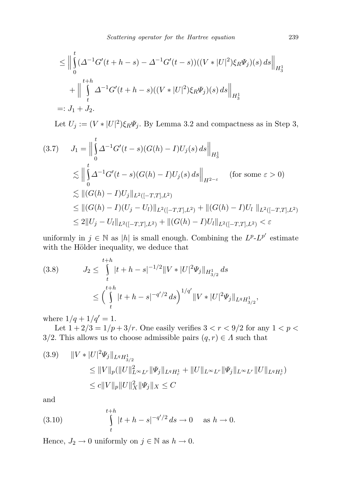$$
\leq \Big\|\int_{0}^{t} (\Delta^{-1}G'(t+h-s) - \Delta^{-1}G'(t-s))((V*|U|^{2})\xi_{R}\Psi_{j})(s) ds\Big\|_{H_{3}^{1}} + \Big\|\int_{t}^{t+h} \Delta^{-1}G'(t+h-s)((V*|U|^{2})\xi_{R}\Psi_{j})(s) ds\Big\|_{H_{3}^{1}}
$$
  
=:  $J_{1} + J_{2}$ .

Let  $U_j := (V \cdot |U|^2) \xi_R \Psi_j$ . By Lemma 3.2 and compactness as in Step 3,

$$
(3.7) \quad J_1 = \Big\|\int_0^t \Delta^{-1}G'(t-s)(G(h) - I)U_j(s) \, ds\Big\|_{H_3^1}
$$
  
\n
$$
\lesssim \Big\|\int_0^t \Delta^{-1}G'(t-s)(G(h) - I)U_j(s) \, ds\Big\|_{H^{2-\varepsilon}} \quad \text{(for some } \varepsilon > 0)
$$
  
\n
$$
\lesssim \| (G(h) - I)U_j \|_{L^2([-T,T],L^2)}
$$
  
\n
$$
\le \| (G(h) - I)(U_j - U_l) \|_{L^2([-T,T],L^2)} + \| (G(h) - I)U_l \|_{L^2([-T,T],L^2)} < \varepsilon
$$

uniformly in  $j \in \mathbb{N}$  as |h| is small enough. Combining the  $L^p L^{p'}$  estimate with the Hölder inequality, we deduce that

$$
(3.8) \tJ_2 \leq \int_t^{t+h} |t+h-s|^{-1/2} ||V*|U|^2 \Psi_j||_{H^1_{3/2}} ds
$$
  

$$
\leq \left(\int_t^{t+h} |t+h-s|^{-q'/2} ds\right)^{1/q'} ||V*|U|^2 \Psi_j||_{L^q H^1_{3/2}},
$$

where  $1/q + 1/q' = 1$ .

Let  $1 + 2/3 = 1/p + 3/r$ . One easily verifies  $3 < r < 9/2$  for any  $1 < p <$ 3/2. This allows us to choose admissible pairs  $(q, r) \in \Lambda$  such that

$$
(3.9) \quad ||V*|U|^2\Psi_j||_{L^qH^1_{3/2}}\leq ||V||_p(||U||^2_{L^\infty L^r}||\Psi_j||_{L^qH^1_r} + ||U||_{L^\infty L^r}||\Psi_j||_{L^\infty L^r}||U||_{L^qH^1_r})\leq c||V||_p||U||^2_X||\Psi_j||_X \leq C
$$

and

(3.10) 
$$
\int_{t}^{t+h} |t+h-s|^{-q'/2} ds \to 0 \quad \text{as } h \to 0.
$$

Hence,  $J_2 \to 0$  uniformly on  $j \in \mathbb{N}$  as  $h \to 0$ .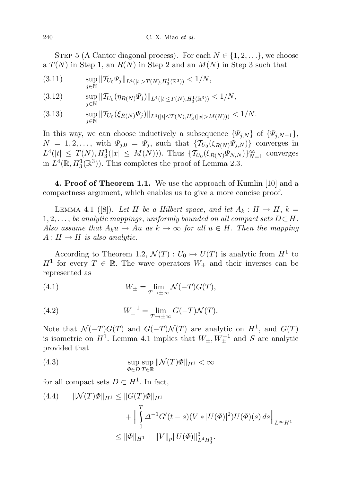STEP 5 (A Cantor diagonal process). For each  $N \in \{1, 2, \ldots\}$ , we choose a  $T(N)$  in Step 1, an  $R(N)$  in Step 2 and an  $M(N)$  in Step 3 such that

$$
(3.11) \quad \sup_{j\in\mathbb{N}} \|T_{U_0}\Psi_j\|_{L^4(|t|>T(N),H^1_3(\mathbb{R}^3))} < 1/N,
$$

$$
(3.12) \quad \sup_{j\in\mathbb{N}} \|\mathcal{T}_{U_0}(\eta_{R(N)}\Psi_j)\|_{L^4(|t|\leq T(N),H^1_3(\mathbb{R}^3))} < 1/N,
$$

$$
(3.13) \t \sup_{j \in \mathbb{N}} \| T_{U_0}(\xi_{R(N)} \Psi_j) \|_{L^4(|t| \le T(N), H^1_3(|x| > M(N)))} < 1/N.
$$

In this way, we can choose inductively a subsequence  $\{\Psi_{j,N}\}$  of  $\{\Psi_{j,N-1}\},$  $N = 1, 2, \ldots$ , with  $\Psi_{j,0} = \Psi_j$ , such that  $\{\mathcal{T}_{U_0}(\xi_{R(N)}\Psi_{j,N})\}$  converges in  $L^4(|t| \leq T(N), H_3^1(|x| \leq M(N)))$ . Thus  $\{T_{U_0}(\xi_{R(N)}\Psi_{N,N})\}_{N=1}^{\infty}$  converges in  $L^4(\mathbb{R}, H_3^1(\mathbb{R}^3))$ . This completes the proof of Lemma 2.3.

4. Proof of Theorem 1.1. We use the approach of Kumlin [10] and a compactness argument, which enables us to give a more concise proof.

LEMMA 4.1 ([8]). Let H be a Hilbert space, and let  $A_k : H \to H$ ,  $k =$  $1, 2, \ldots$ , be analytic mappings, uniformly bounded on all compact sets  $D \subset H$ . Also assume that  $A_k u \to Au$  as  $k \to \infty$  for all  $u \in H$ . Then the mapping  $A: H \to H$  is also analytic.

According to Theorem 1.2,  $\mathcal{N}(T): U_0 \mapsto U(T)$  is analytic from  $H^1$  to  $H^1$  for every  $T \in \mathbb{R}$ . The wave operators  $W_{\pm}$  and their inverses can be represented as

(4.1) 
$$
W_{\pm} = \lim_{T \to \pm \infty} \mathcal{N}(-T)G(T),
$$

(4.2) 
$$
W_{\pm}^{-1} = \lim_{T \to \pm \infty} G(-T)\mathcal{N}(T).
$$

Note that  $\mathcal{N}(-T)G(T)$  and  $G(-T)\mathcal{N}(T)$  are analytic on  $H^1$ , and  $G(T)$ is isometric on  $H^1$ . Lemma 4.1 implies that  $W_{\pm}, W_{\pm}^{-1}$  and S are analytic provided that

(4.3) 
$$
\sup_{\Phi \in D} \sup_{T \in \mathbb{R}} \|\mathcal{N}(T)\Phi\|_{H^1} < \infty
$$

for all compact sets  $D \subset H^1$ . In fact,

(4.4) 
$$
\|\mathcal{N}(T)\Phi\|_{H^1} \le \|G(T)\Phi\|_{H^1}
$$

$$
+ \Big\|\int_0^T \Delta^{-1}G'(t-s)(V*|U(\Phi)|^2)U(\Phi)(s) ds\Big\|_{L^\infty H^1}
$$

$$
\le \|\Phi\|_{H^1} + \|V\|_p \|U(\Phi)\|_{L^4 H^1_3}^3.
$$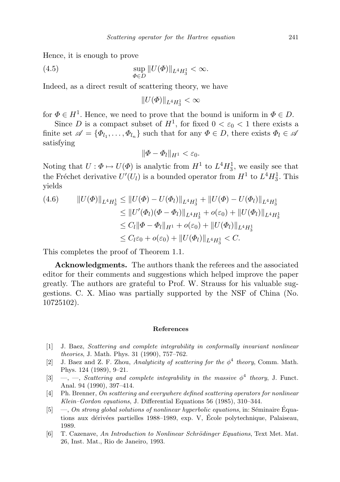Hence, it is enough to prove

(4.5) 
$$
\sup_{\Phi \in D} ||U(\Phi)||_{L^4 H_3^1} < \infty.
$$

Indeed, as a direct result of scattering theory, we have

$$
||U(\varPhi)||_{L^4H^1_3}<\infty
$$

for  $\Phi \in H^1$ . Hence, we need to prove that the bound is uniform in  $\Phi \in D$ .

Since D is a compact subset of  $H^1$ , for fixed  $0 < \varepsilon_0 < 1$  there exists a finite set  $\mathscr{A} = {\phi_{l_1}, \ldots, \phi_{l_n}}$  such that for any  $\Phi \in D$ , there exists  $\Phi_l \in \mathscr{A}$ satisfying

$$
\|\Phi-\Phi_l\|_{H^1}<\varepsilon_0.
$$

Noting that  $U: \Phi \mapsto U(\Phi)$  is analytic from  $H^1$  to  $L^4H_3^1$ , we easily see that the Fréchet derivative  $U'(U_l)$  is a bounded operator from  $H^1$  to  $L^4H_3^1$ . This yields

$$
(4.6) \qquad ||U(\Phi)||_{L^{4}H^{1}_{3}} \leq ||U(\Phi) - U(\Phi_{l})||_{L^{4}H^{1}_{3}} + ||U(\Phi) - U(\Phi_{l})||_{L^{4}H^{1}_{3}}
$$
  
\n
$$
\leq ||U'(\Phi_{l})(\Phi - \Phi_{l})||_{L^{4}H^{1}_{3}} + o(\varepsilon_{0}) + ||U(\Phi_{l})||_{L^{4}H^{1}_{3}}
$$
  
\n
$$
\leq C_{l}||\Phi - \Phi_{l}||_{H^{1}} + o(\varepsilon_{0}) + ||U(\Phi_{l})||_{L^{4}H^{1}_{3}}
$$
  
\n
$$
\leq C_{l}\varepsilon_{0} + o(\varepsilon_{0}) + ||U(\Phi_{l})||_{L^{4}H^{1}_{3}} < C.
$$

This completes the proof of Theorem 1.1.

Acknowledgments. The authors thank the referees and the associated editor for their comments and suggestions which helped improve the paper greatly. The authors are grateful to Prof. W. Strauss for his valuable suggestions. C. X. Miao was partially supported by the NSF of China (No. 10725102).

## References

- [1] J. Baez, Scattering and complete integrability in conformally invariant nonlinear theories, J. Math. Phys. 31 (1990), 757–762.
- [2] J. Baez and Z. F. Zhou, Analyticity of scattering for the  $\phi^4$  theory, Comm. Math. Phys. 124 (1989), 9–21.
- [3]  $\rightarrow$ , Scattering and complete integrability in the massive  $\phi^4$  theory, J. Funct. Anal. 94 (1990), 397–414.
- [4] Ph. Brenner, On scattering and everywhere defined scattering operators for nonlinear Klein–Gordon equations, J. Differential Equations 56 (1985), 310–344.
- $[5] \quad$   $\quad$ , On strong global solutions of nonlinear hyperbolic equations, in: Séminaire Équations aux dérivées partielles 1988–1989, exp. V, École polytechnique, Palaiseau, 1989.
- [6] T. Cazenave, An Introduction to Nonlinear Schrödinger Equations, Text Met. Mat. 26, Inst. Mat., Rio de Janeiro, 1993.